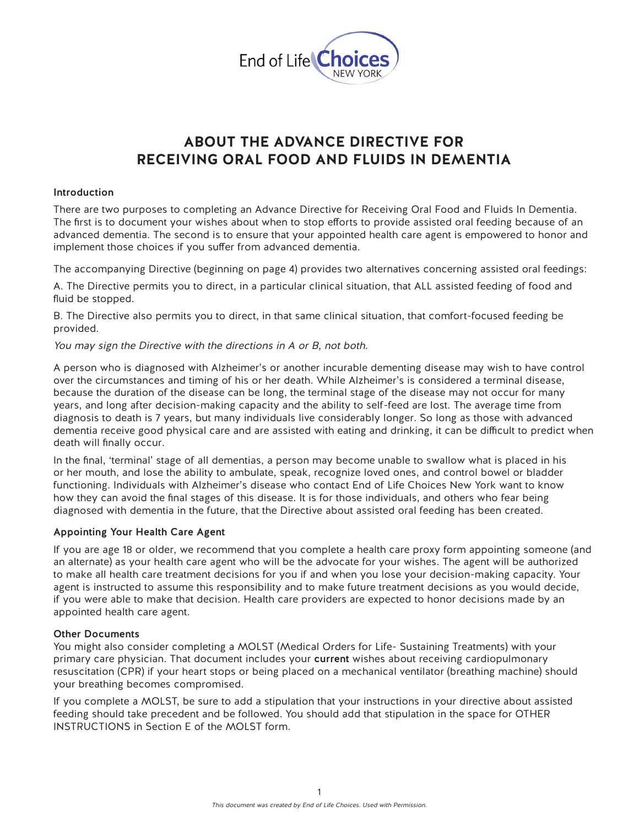

# **ABOUT THE ADVANCE DIRECTIVE FOR RECEIVING ORAL FOOD AND FLUIDS IN DEMENTIA**

#### Introduction

There are two purposes to completing an Advance Directive for Receiving Oral Food and Fluids In Dementia. The first is to document your wishes about when to stop efforts to provide assisted oral feeding because of an advanced dementia. The second is to ensure that your appointed health care agent is empowered to honor and implement those choices if you suffer from advanced dementia.

The accompanying Directive (beginning on page 4) provides two alternatives concerning assisted oral feedings:

A. The Directive permits you to direct, in a particular clinical situation, that ALL assisted feeding of food and fluid be stopped.

B. The Directive also permits you to direct, in that same clinical situation, that comfort-focused feeding be provided.

You may sign the Directive with the directions in A or B, not both.

A person who is diagnosed with Alzheimer's or another incurable dementing disease may wish to have control over the circumstances and timing of his or her death. While Alzheimer's is considered a terminal disease, because the duration of the disease can be long, the terminal stage of the disease may not occur for many years, and long after decision-making capacity and the ability to self-feed are lost. The average time from diagnosis to death is 7 years, but many individuals live considerably longer. So long as those with advanced dementia receive good physical care and are assisted with eating and drinking, it can be difficult to predict when death will finally occur.

In the final, 'terminal' stage of all dementias, a person may become unable to swallow what is placed in his or her mouth, and lose the ability to ambulate, speak, recognize loved ones, and control bowel or bladder functioning. Individuals with Alzheimer's disease who contact End of Life Choices New York want to know how they can avoid the final stages of this disease. It is for those individuals, and others who fear being diagnosed with dementia in the future, that the Directive about assisted oral feeding has been created.

#### Appointing Your Health Care Agent

If you are age 18 or older, we recommend that you complete a health care proxy form appointing someone (and an alternate) as your health care agent who will be the advocate for your wishes. The agent will be authorized to make all health care treatment decisions for you if and when you lose your decision-making capacity. Your agent is instructed to assume this responsibility and to make future treatment decisions as you would decide, if you were able to make that decision. Health care providers are expected to honor decisions made by an appointed health care agent.

#### Other Documents

You might also consider completing a MOLST (Medical Orders for Life- Sustaining Treatments) with your primary care physician. That document includes your current wishes about receiving cardiopulmonary resuscitation (CPR) if your heart stops or being placed on a mechanical ventilator (breathing machine) should your breathing becomes compromised.

If you complete a MOLST, be sure to add a stipulation that your instructions in your directive about assisted feeding should take precedent and be followed. You should add that stipulation in the space for OTHER INSTRUCTIONS in Section E of the MOLST form.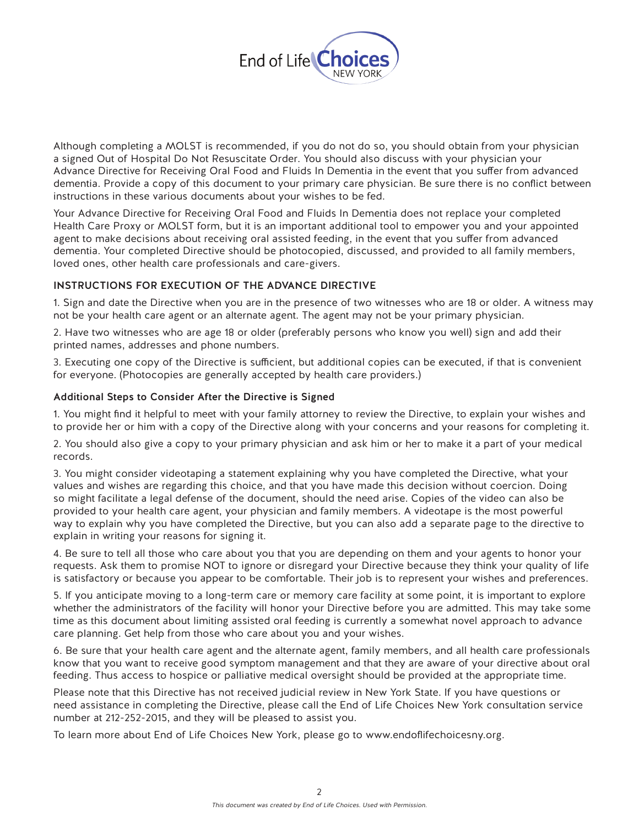

Although completing a MOLST is recommended, if you do not do so, you should obtain from your physician a signed Out of Hospital Do Not Resuscitate Order. You should also discuss with your physician your Advance Directive for Receiving Oral Food and Fluids In Dementia in the event that you suffer from advanced dementia. Provide a copy of this document to your primary care physician. Be sure there is no conflict between instructions in these various documents about your wishes to be fed.

Your Advance Directive for Receiving Oral Food and Fluids In Dementia does not replace your completed Health Care Proxy or MOLST form, but it is an important additional tool to empower you and your appointed agent to make decisions about receiving oral assisted feeding, in the event that you suffer from advanced dementia. Your completed Directive should be photocopied, discussed, and provided to all family members, loved ones, other health care professionals and care-givers.

## INSTRUCTIONS FOR EXECUTION OF THE ADVANCE DIRECTIVE

1. Sign and date the Directive when you are in the presence of two witnesses who are 18 or older. A witness may not be your health care agent or an alternate agent. The agent may not be your primary physician.

2. Have two witnesses who are age 18 or older (preferably persons who know you well) sign and add their printed names, addresses and phone numbers.

3. Executing one copy of the Directive is sufficient, but additional copies can be executed, if that is convenient for everyone. (Photocopies are generally accepted by health care providers.)

## Additional Steps to Consider After the Directive is Signed

1. You might find it helpful to meet with your family attorney to review the Directive, to explain your wishes and to provide her or him with a copy of the Directive along with your concerns and your reasons for completing it.

2. You should also give a copy to your primary physician and ask him or her to make it a part of your medical records.

3. You might consider videotaping a statement explaining why you have completed the Directive, what your values and wishes are regarding this choice, and that you have made this decision without coercion. Doing so might facilitate a legal defense of the document, should the need arise. Copies of the video can also be provided to your health care agent, your physician and family members. A videotape is the most powerful way to explain why you have completed the Directive, but you can also add a separate page to the directive to explain in writing your reasons for signing it.

4. Be sure to tell all those who care about you that you are depending on them and your agents to honor your requests. Ask them to promise NOT to ignore or disregard your Directive because they think your quality of life is satisfactory or because you appear to be comfortable. Their job is to represent your wishes and preferences.

5. If you anticipate moving to a long-term care or memory care facility at some point, it is important to explore whether the administrators of the facility will honor your Directive before you are admitted. This may take some time as this document about limiting assisted oral feeding is currently a somewhat novel approach to advance care planning. Get help from those who care about you and your wishes.

6. Be sure that your health care agent and the alternate agent, family members, and all health care professionals know that you want to receive good symptom management and that they are aware of your directive about oral feeding. Thus access to hospice or palliative medical oversight should be provided at the appropriate time.

Please note that this Directive has not received judicial review in New York State. If you have questions or need assistance in completing the Directive, please call the End of Life Choices New York consultation service number at 212-252-2015, and they will be pleased to assist you.

To learn more about End of Life Choices New York, please go to www.endoflifechoicesny.org.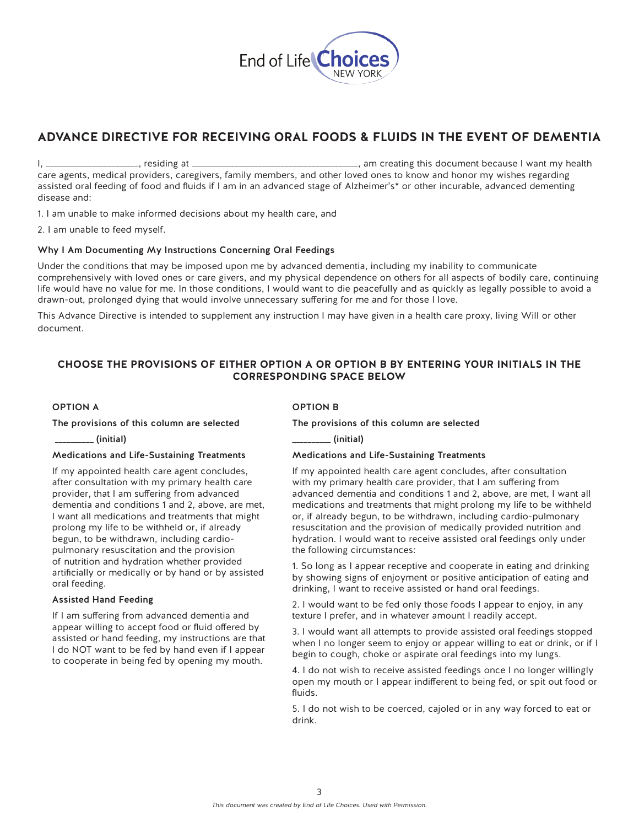

# **ADVANCE DIRECTIVE FOR RECEIVING ORAL FOODS & FLUIDS IN THE EVENT OF DEMENTIA**

I, \_\_\_\_\_\_\_\_\_\_\_\_\_\_\_\_\_\_\_\_\_\_\_\_, residing at \_\_\_\_\_\_\_\_\_\_\_\_\_\_\_\_\_\_\_\_\_\_\_\_\_\_\_\_\_\_\_\_\_\_\_\_\_\_\_\_\_\_\_, am creating this document because I want my health care agents, medical providers, caregivers, family members, and other loved ones to know and honor my wishes regarding assisted oral feeding of food and fluids if I am in an advanced stage of Alzheimer's\* or other incurable, advanced dementing disease and:

1. I am unable to make informed decisions about my health care, and

2. I am unable to feed myself.

#### Why I Am Documenting My Instructions Concerning Oral Feedings

Under the conditions that may be imposed upon me by advanced dementia, including my inability to communicate comprehensively with loved ones or care givers, and my physical dependence on others for all aspects of bodily care, continuing life would have no value for me. In those conditions, I would want to die peacefully and as quickly as legally possible to avoid a drawn-out, prolonged dying that would involve unnecessary suffering for me and for those I love.

This Advance Directive is intended to supplement any instruction I may have given in a health care proxy, living Will or other document.

#### **CHOOSE THE PROVISIONS OF EITHER OPTION A OR OPTION B BY ENTERING YOUR INITIALS IN THE CORRESPONDING SPACE BELOW**

#### OPTION A

#### The provisions of this column are selected

\_\_\_\_\_\_\_\_\_\_ (initial)

#### Medications and Life-Sustaining Treatments

If my appointed health care agent concludes, after consultation with my primary health care provider, that I am suffering from advanced dementia and conditions 1 and 2, above, are met, I want all medications and treatments that might prolong my life to be withheld or, if already begun, to be withdrawn, including cardiopulmonary resuscitation and the provision of nutrition and hydration whether provided artificially or medically or by hand or by assisted oral feeding.

#### Assisted Hand Feeding

If I am suffering from advanced dementia and appear willing to accept food or fluid offered by assisted or hand feeding, my instructions are that I do NOT want to be fed by hand even if I appear to cooperate in being fed by opening my mouth.

#### OPTION B

The provisions of this column are selected

\_\_\_\_\_\_\_\_\_\_ (initial)

#### Medications and Life-Sustaining Treatments

If my appointed health care agent concludes, after consultation with my primary health care provider, that I am suffering from advanced dementia and conditions 1 and 2, above, are met, I want all medications and treatments that might prolong my life to be withheld or, if already begun, to be withdrawn, including cardio-pulmonary resuscitation and the provision of medically provided nutrition and hydration. I would want to receive assisted oral feedings only under the following circumstances:

1. So long as I appear receptive and cooperate in eating and drinking by showing signs of enjoyment or positive anticipation of eating and drinking, I want to receive assisted or hand oral feedings.

2. I would want to be fed only those foods I appear to enjoy, in any texture I prefer, and in whatever amount I readily accept.

3. I would want all attempts to provide assisted oral feedings stopped when I no longer seem to enjoy or appear willing to eat or drink, or if I begin to cough, choke or aspirate oral feedings into my lungs.

4. I do not wish to receive assisted feedings once I no longer willingly open my mouth or I appear indifferent to being fed, or spit out food or fluids.

5. I do not wish to be coerced, cajoled or in any way forced to eat or drink.